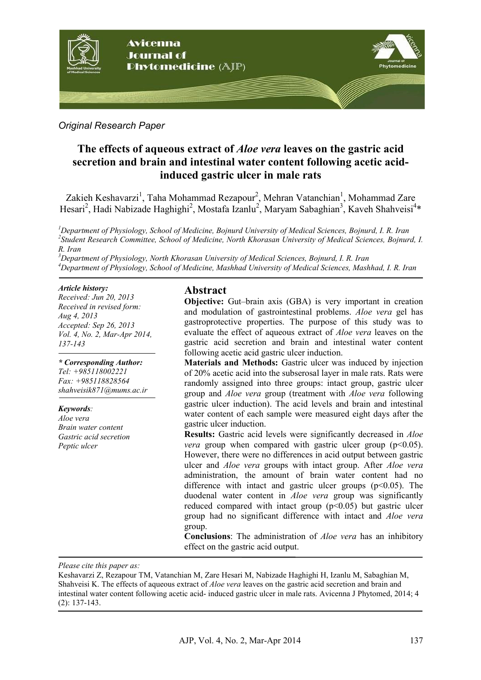

#### *Original Research Paper*

# **The effects of aqueous extract of** *Aloe vera* **leaves on the gastric acid secretion and brain and intestinal water content following acetic acidinduced gastric ulcer in male rats**

Zakieh Keshavarzi<sup>1</sup>, Taha Mohammad Rezapour<sup>2</sup>, Mehran Vatanchian<sup>1</sup>, Mohammad Zare Hesari<sup>2</sup>, Hadi Nabizade Haghighi<sup>2</sup>, Mostafa Izanlu<sup>2</sup>, Maryam Sabaghian<sup>3</sup>, Kaveh Shahveisi<sup>4</sup>\*

*<sup>1</sup>Department of Physiology, School of Medicine, Bojnurd University of Medical Sciences, Bojnurd, I. R. Iran 2 Student Research Committee, School of Medicine, North Khorasan University of Medical Sciences, Bojnurd, I. R. Iran* 

*<sup>3</sup>Department of Physiology, North Khorasan University of Medical Sciences, Bojnurd, I. R. Iran <sup>4</sup>Department of Physiology, School of Medicine, Mashhad University of Medical Sciences, Mashhad, I. R. Iran* 

#### *Article history:*

*Received: Jun 20, 2013 Received in revised form: Aug 4, 2013 Accepted: Sep 26, 2013 Vol. 4, No. 2, Mar-Apr 2014, 137-143*

*\* Corresponding Author: Tel: +985118002221 Fax: +985118828564 shahveisik871@mums.ac.ir*

#### *Keywords:*

*Aloe vera Brain water content Gastric acid secretion Peptic ulcer*

### **Abstract**

**Objective:** Gut–brain axis (GBA) is very important in creation and modulation of gastrointestinal problems. *Aloe vera* gel has gastroprotective properties. The purpose of this study was to evaluate the effect of aqueous extract of *Aloe vera* leaves on the gastric acid secretion and brain and intestinal water content following acetic acid gastric ulcer induction.

**Materials and Methods:** Gastric ulcer was induced by injection of 20% acetic acid into the subserosal layer in male rats. Rats were randomly assigned into three groups: intact group, gastric ulcer group and *Aloe vera* group (treatment with *Aloe vera* following gastric ulcer induction). The acid levels and brain and intestinal water content of each sample were measured eight days after the gastric ulcer induction.

**Results:** Gastric acid levels were significantly decreased in *Aloe vera* group when compared with gastric ulcer group  $(p<0.05)$ . However, there were no differences in acid output between gastric ulcer and *Aloe vera* groups with intact group. After *Aloe vera* administration, the amount of brain water content had no difference with intact and gastric ulcer groups  $(p<0.05)$ . The duodenal water content in *Aloe vera* group was significantly reduced compared with intact group  $(p<0.05)$  but gastric ulcer group had no significant difference with intact and *Aloe vera* group.

**Conclusions**: The administration of *Aloe vera* has an inhibitory effect on the gastric acid output.

*Please cite this paper as:* 

İ

Keshavarzi Z, Rezapour TM, Vatanchian M, Zare Hesari M, Nabizade Haghighi H, Izanlu M, Sabaghian M, Shahveisi K. The effects of aqueous extract of *Aloe vera* leaves on the gastric acid secretion and brain and intestinal water content following acetic acid- induced gastric ulcer in male rats. Avicenna J Phytomed, 2014; 4 (2): 137-143.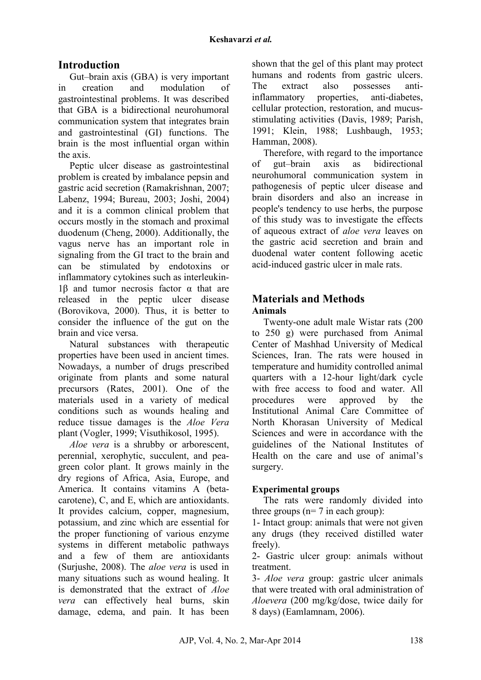# **Introduction**

Gut–brain axis (GBA) is very important in creation and modulation of gastrointestinal problems. It was described that GBA is a bidirectional neurohumoral communication system that integrates brain and gastrointestinal (GI) functions. The brain is the most influential organ within the axis.

Peptic ulcer disease as gastrointestinal problem is created by imbalance pepsin and gastric acid secretion (Ramakrishnan, 2007; Labenz, 1994; Bureau, 2003; Joshi, 2004) and it is a common clinical problem that occurs mostly in the stomach and proximal duodenum (Cheng, 2000). Additionally, the vagus nerve has an important role in signaling from the GI tract to the brain and can be stimulated by endotoxins or inflammatory cytokines such as interleukin-1β and tumor necrosis factor  $α$  that are released in the peptic ulcer disease (Borovikova, 2000). Thus, it is better to consider the influence of the gut on the brain and vice versa.

Natural substances with therapeutic properties have been used in ancient times. Nowadays, a number of drugs prescribed originate from plants and some natural precursors (Rates, 2001). One of the materials used in a variety of medical conditions such as wounds healing and reduce tissue damages is the *Aloe Vera* plant (Vogler, 1999; Visuthikosol, 1995).

*Aloe vera* is a shrubby or arborescent, perennial, xerophytic, succulent, and peagreen color plant. It grows mainly in the dry regions of Africa, Asia, Europe, and America. It contains vitamins A (betacarotene), C, and E, which are antioxidants. It provides calcium, copper, magnesium, potassium, and zinc which are essential for the proper functioning of various enzyme systems in different metabolic pathways and a few of them are antioxidants (Surjushe, 2008). The *aloe vera* is used in many situations such as wound healing. It is demonstrated that the extract of *Aloe vera* can effectively heal burns, skin damage, edema, and pain. It has been shown that the gel of this plant may protect humans and rodents from gastric ulcers. The extract also possesses antiinflammatory properties, anti-diabetes, cellular protection, restoration, and mucusstimulating activities (Davis, 1989; Parish, 1991; Klein, 1988; Lushbaugh, 1953; Hamman, 2008).

Therefore, with regard to the importance of gut–brain axis as bidirectional neurohumoral communication system in pathogenesis of peptic ulcer disease and brain disorders and also an increase in people's tendency to use herbs, the purpose of this study was to investigate the effects of aqueous extract of *aloe vera* leaves on the gastric acid secretion and brain and duodenal water content following acetic acid-induced gastric ulcer in male rats.

## **Materials and Methods Animals**

Twenty-one adult male Wistar rats (200 to 250 g) were purchased from Animal Center of Mashhad University of Medical Sciences, Iran. The rats were housed in temperature and humidity controlled animal quarters with a 12-hour light/dark cycle with free access to food and water. All procedures were approved by the Institutional Animal Care Committee of North Khorasan University of Medical Sciences and were in accordance with the guidelines of the National Institutes of Health on the care and use of animal's surgery.

### **Experimental groups**

The rats were randomly divided into three groups ( $n= 7$  in each group):

1- Intact group: animals that were not given any drugs (they received distilled water freely).

2- Gastric ulcer group: animals without treatment.

3- *Aloe vera* group: gastric ulcer animals that were treated with oral administration of *Aloevera* (200 mg/kg/dose, twice daily for 8 days) (Eamlamnam, 2006).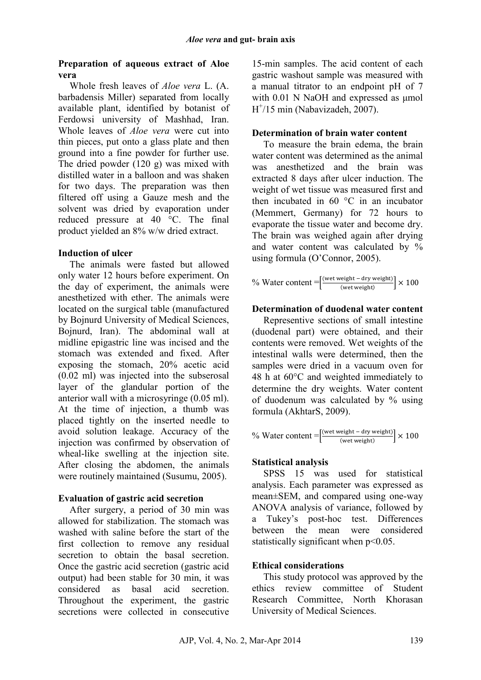#### **Preparation of aqueous extract of Aloe vera**

Whole fresh leaves of *Aloe vera* L. (A. barbadensis Miller) separated from locally available plant, identified by botanist of Ferdowsi university of Mashhad, Iran. Whole leaves of *Aloe vera* were cut into thin pieces, put onto a glass plate and then ground into a fine powder for further use. The dried powder (120 g) was mixed with distilled water in a balloon and was shaken for two days. The preparation was then filtered off using a Gauze mesh and the solvent was dried by evaporation under reduced pressure at 40 °C. The final product yielded an 8% w/w dried extract.

#### **Induction of ulcer**

The animals were fasted but allowed only water 12 hours before experiment. On the day of experiment, the animals were anesthetized with ether. The animals were located on the surgical table (manufactured by Bojnurd University of Medical Sciences, Bojnurd, Iran). The abdominal wall at midline epigastric line was incised and the stomach was extended and fixed. After exposing the stomach, 20% acetic acid (0.02 ml) was injected into the subserosal layer of the glandular portion of the anterior wall with a microsyringe (0.05 ml). At the time of injection, a thumb was placed tightly on the inserted needle to avoid solution leakage. Accuracy of the injection was confirmed by observation of wheal-like swelling at the injection site. After closing the abdomen, the animals were routinely maintained (Susumu, 2005).

### **Evaluation of gastric acid secretion**

After surgery, a period of 30 min was allowed for stabilization. The stomach was washed with saline before the start of the first collection to remove any residual secretion to obtain the basal secretion. Once the gastric acid secretion (gastric acid output) had been stable for 30 min, it was considered as basal acid secretion. Throughout the experiment, the gastric secretions were collected in consecutive

15-min samples. The acid content of each gastric washout sample was measured with a manual titrator to an endpoint pH of 7 with 0.01 N NaOH and expressed as umol H + /15 min (Nabavizadeh, 2007).

### **Determination of brain water content**

To measure the brain edema, the brain water content was determined as the animal was anesthetized and the brain was extracted 8 days after ulcer induction. The weight of wet tissue was measured first and then incubated in 60 $\degree$ C in an incubator (Memmert, Germany) for 72 hours to evaporate the tissue water and become dry. The brain was weighed again after drying and water content was calculated by % using formula (O'Connor, 2005).

$$
\% Water content = \left[\frac{\text{(wet weight - dry weight)}}{\text{(wet weight)}}\right] \times 100
$$

#### **Determination of duodenal water content**

Representive sections of small intestine (duodenal part) were obtained, and their contents were removed. Wet weights of the intestinal walls were determined, then the samples were dried in a vacuum oven for 48 h at 60°C and weighted immediately to determine the dry weights. Water content of duodenum was calculated by % using formula (AkhtarS, 2009).

$$
\% Water content = \left[\frac{\text{(wet weight - dry weight)}}{\text{(wet weight)}}\right] \times 100
$$

### **Statistical analysis**

SPSS 15 was used for statistical analysis. Each parameter was expressed as mean±SEM, and compared using one-way ANOVA analysis of variance, followed by a Tukey's post-hoc test. Differences between the mean were considered statistically significant when  $p<0.05$ .

### **Ethical considerations**

This study protocol was approved by the ethics review committee of Student Research Committee, North Khorasan University of Medical Sciences.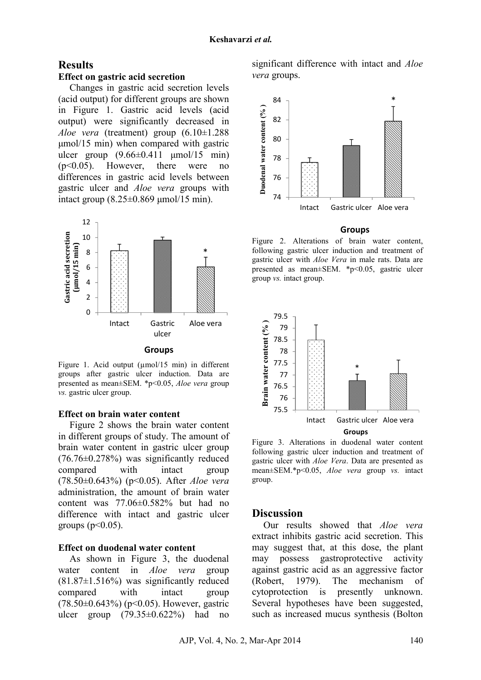#### **Results**

#### **Effect on gastric acid secretion**

Changes in gastric acid secretion levels (acid output) for different groups are shown in Figure 1. Gastric acid levels (acid output) were significantly decreased in *Aloe vera* (treatment) group (6.10±1.288 µmol/15 min) when compared with gastric ulcer group  $(9.66\pm0.411 \text{ \mu} \text{mol}/15 \text{ min})$ (p<0.05). However, there were no differences in gastric acid levels between gastric ulcer and *Aloe vera* groups with intact group (8.25±0.869 µmol/15 min).



Figure 1. Acid output (µmol/15 min) in different groups after gastric ulcer induction. Data are presented as mean±SEM. \*p<0.05, *Aloe vera* group *vs.* gastric ulcer group.

#### **Effect on brain water content**

Figure 2 shows the brain water content in different groups of study. The amount of brain water content in gastric ulcer group (76.76±0.278%) was significantly reduced compared with intact group (78.50±0.643%) (p<0.05). After *Aloe vera* administration, the amount of brain water content was 77.06±0.582% but had no difference with intact and gastric ulcer groups ( $p<0.05$ ).

#### **Effect on duodenal water content**

As shown in Figure 3, the duodenal water content in *Aloe vera* group  $(81.87\pm1.516\%)$  was significantly reduced compared with intact group  $(78.50\pm0.643\%)$  (p<0.05). However, gastric ulcer group  $(79.35\pm0.622\%)$  had no significant difference with intact and *Aloe vera* groups.



#### **Groups**

Figure 2. Alterations of brain water content, following gastric ulcer induction and treatment of gastric ulcer with *Aloe Vera* in male rats. Data are presented as mean±SEM. \*p<0.05, gastric ulcer group *vs.* intact group.



Figure 3. Alterations in duodenal water content following gastric ulcer induction and treatment of gastric ulcer with *Aloe Vera*. Data are presented as mean±SEM.\*p<0.05, *Aloe vera* group *vs.* intact group.

#### **Discussion**

Our results showed that *Aloe vera* extract inhibits gastric acid secretion. This may suggest that, at this dose, the plant may possess gastroprotective activity against gastric acid as an aggressive factor (Robert, 1979). The mechanism of cytoprotection is presently unknown. Several hypotheses have been suggested, such as increased mucus synthesis (Bolton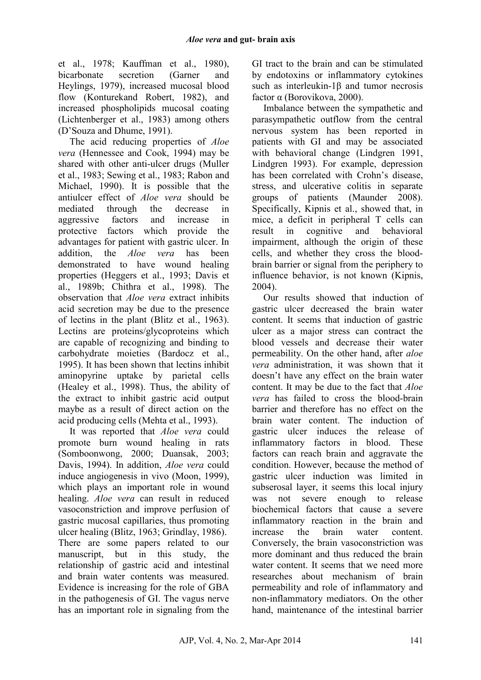et al., 1978; Kauffman et al., 1980), bicarbonate secretion (Garner and Heylings, 1979), increased mucosal blood flow (Konturekand Robert, 1982), and increased phospholipids mucosal coating (Lichtenberger et al., 1983) among others (D'Souza and Dhume, 1991).

The acid reducing properties of *Aloe vera* (Hennessee and Cook, 1994) may be shared with other anti-ulcer drugs (Muller et al., 1983; Sewing et al., 1983; Rabon and Michael, 1990). It is possible that the antiulcer effect of *Aloe vera* should be mediated through the decrease in aggressive factors and increase in protective factors which provide the advantages for patient with gastric ulcer. In addition, the *Aloe vera* has been demonstrated to have wound healing properties (Heggers et al., 1993; Davis et al., 1989b; Chithra et al., 1998). The observation that *Aloe vera* extract inhibits acid secretion may be due to the presence of lectins in the plant (Blitz et al., 1963). Lectins are proteins/glycoproteins which are capable of recognizing and binding to carbohydrate moieties (Bardocz et al., 1995). It has been shown that lectins inhibit aminopyrine uptake by parietal cells (Healey et al., 1998). Thus, the ability of the extract to inhibit gastric acid output maybe as a result of direct action on the acid producing cells (Mehta et al., 1993).

It was reported that *Aloe vera* could promote burn wound healing in rats (Somboonwong, 2000; Duansak, 2003; Davis, 1994). In addition, *Aloe vera* could induce angiogenesis in vivo (Moon, 1999), which plays an important role in wound healing. *Aloe vera* can result in reduced vasoconstriction and improve perfusion of gastric mucosal capillaries, thus promoting ulcer healing (Blitz, 1963; Grindlay, 1986). There are some papers related to our manuscript, but in this study, the relationship of gastric acid and intestinal and brain water contents was measured. Evidence is increasing for the role of GBA in the pathogenesis of GI. The vagus nerve has an important role in signaling from the GI tract to the brain and can be stimulated by endotoxins or inflammatory cytokines such as interleukin-1β and tumor necrosis factor α (Borovikova, 2000).

Imbalance between the sympathetic and parasympathetic outflow from the central nervous system has been reported in patients with GI and may be associated with behavioral change (Lindgren 1991, Lindgren 1993). For example, depression has been correlated with Crohn's disease, stress, and ulcerative colitis in separate groups of patients (Maunder 2008). Specifically, Kipnis et al., showed that, in mice, a deficit in peripheral T cells can result in cognitive and behavioral impairment, although the origin of these cells, and whether they cross the bloodbrain barrier or signal from the periphery to influence behavior, is not known (Kipnis, 2004).

Our results showed that induction of gastric ulcer decreased the brain water content. It seems that induction of gastric ulcer as a major stress can contract the blood vessels and decrease their water permeability. On the other hand, after *aloe vera* administration, it was shown that it doesn't have any effect on the brain water content. It may be due to the fact that *Aloe vera* has failed to cross the blood-brain barrier and therefore has no effect on the brain water content. The induction of gastric ulcer induces the release of inflammatory factors in blood. These factors can reach brain and aggravate the condition. However, because the method of gastric ulcer induction was limited in subserosal layer, it seems this local injury was not severe enough to release biochemical factors that cause a severe inflammatory reaction in the brain and increase the brain water content. Conversely, the brain vasoconstriction was more dominant and thus reduced the brain water content. It seems that we need more researches about mechanism of brain permeability and role of inflammatory and non-inflammatory mediators. On the other hand, maintenance of the intestinal barrier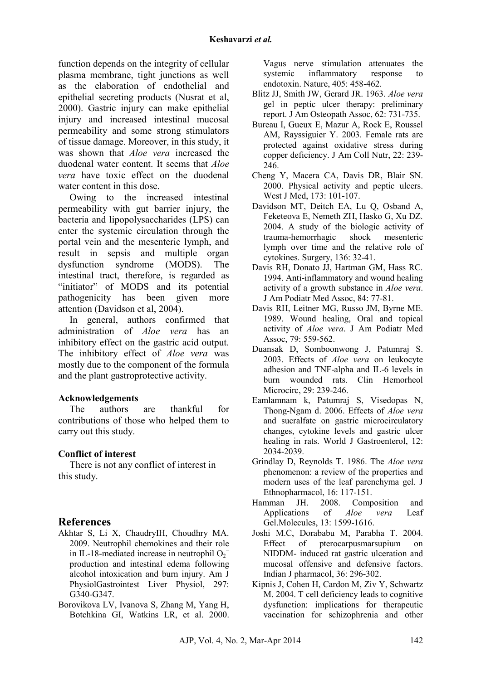function depends on the integrity of cellular plasma membrane, tight junctions as well as the elaboration of endothelial and epithelial secreting products (Nusrat et al, 2000). Gastric injury can make epithelial injury and increased intestinal mucosal permeability and some strong stimulators of tissue damage. Moreover, in this study, it was shown that *Aloe vera* increased the duodenal water content. It seems that *Aloe vera* have toxic effect on the duodenal water content in this dose.

Owing to the increased intestinal permeability with gut barrier injury, the bacteria and lipopolysaccharides (LPS) can enter the systemic circulation through the portal vein and the mesenteric lymph, and result in sepsis and multiple organ dysfunction syndrome (MODS). The intestinal tract, therefore, is regarded as "initiator" of MODS and its potential pathogenicity has been given more attention (Davidson et al, 2004).

In general, authors confirmed that administration of *Aloe vera* has an inhibitory effect on the gastric acid output. The inhibitory effect of *Aloe vera* was mostly due to the component of the formula and the plant gastroprotective activity.

### **Acknowledgements**

The authors are thankful for contributions of those who helped them to carry out this study.

### **Conflict of interest**

There is not any conflict of interest in this study.

## **References**

- Akhtar S, Li X, ChaudryIH, Choudhry MA. 2009. Neutrophil chemokines and their role in IL-18-mediated increase in neutrophil  $O_2^$ production and intestinal edema following alcohol intoxication and burn injury. Am J PhysiolGastrointest Liver Physiol, 297: G340-G347.
- Borovikova LV, Ivanova S, Zhang M, Yang H, Botchkina GI, Watkins LR, et al. 2000.

Vagus nerve stimulation attenuates the systemic inflammatory response to endotoxin. Nature, 405: 458-462.

- Blitz JJ, Smith JW, Gerard JR. 1963. *Aloe vera* gel in peptic ulcer therapy: preliminary report. J Am Osteopath Assoc, 62: 731-735.
- Bureau I, Gueux E, Mazur A, Rock E, Roussel AM, Rayssiguier Y. 2003. Female rats are protected against oxidative stress during copper deficiency. J Am Coll Nutr, 22: 239- 246.
- Cheng Y, Macera CA, Davis DR, Blair SN. 2000. Physical activity and peptic ulcers. West J Med, 173: 101-107.
- Davidson MT, Deitch EA, Lu Q, Osband A, Feketeova E, Nemeth ZH, Hasko G, Xu DZ. 2004. A study of the biologic activity of trauma-hemorrhagic shock mesenteric lymph over time and the relative role of cytokines. Surgery, 136: 32-41.
- Davis RH, Donato JJ, Hartman GM, Hass RC. 1994. Anti-inflammatory and wound healing activity of a growth substance in *Aloe vera*. J Am Podiatr Med Assoc, 84: 77-81.
- Davis RH, Leitner MG, Russo JM, Byrne ME. 1989. Wound healing, Oral and topical activity of *Aloe vera*. J Am Podiatr Med Assoc, 79: 559-562.
- Duansak D, Somboonwong J, Patumraj S. 2003. Effects of *Aloe vera* on leukocyte adhesion and TNF-alpha and IL-6 levels in burn wounded rats. Clin Hemorheol Microcirc, 29: 239-246.
- Eamlamnam k, Patumraj S, Visedopas N, Thong-Ngam d. 2006. Effects of *Aloe vera* and sucralfate on gastric microcirculatory changes, cytokine levels and gastric ulcer healing in rats. World J Gastroenterol, 12: 2034-2039.
- Grindlay D, Reynolds T. 1986. The *Aloe vera* phenomenon: a review of the properties and modern uses of the leaf parenchyma gel. J Ethnopharmacol, 16: 117-151.
- Hamman JH. 2008. Composition and Applications of *Aloe vera* Leaf Gel.Molecules, 13: 1599-1616.
- Joshi M.C, Dorababu M, Parabha T. 2004. Effect of pterocarpusmarsupium on NIDDM- induced rat gastric ulceration and mucosal offensive and defensive factors. Indian J pharmacol, 36: 296-302.
- Kipnis J, Cohen H, Cardon M, Ziv Y, Schwartz M. 2004. T cell deficiency leads to cognitive dysfunction: implications for therapeutic vaccination for schizophrenia and other